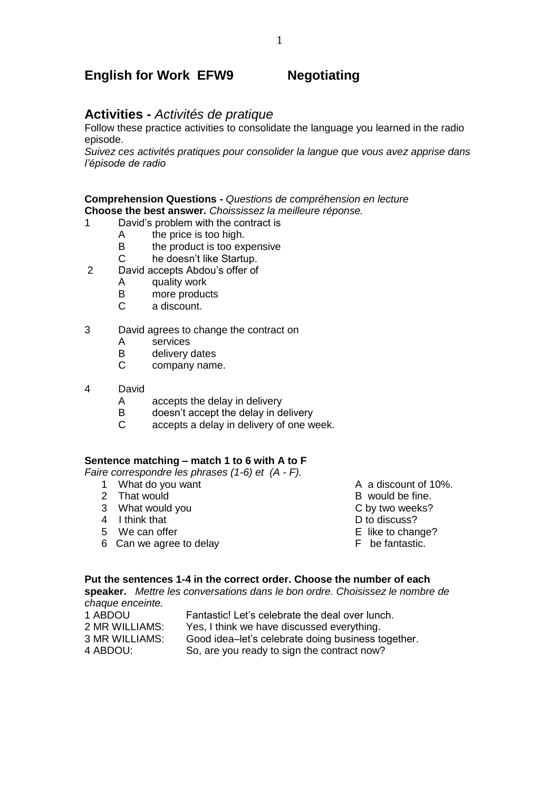# **English for Work EFW9 Negotiating**

# **Activities -** *Activités de pratique*

Follow these practice activities to consolidate the language you learned in the radio episode.

*Suivez ces activités pratiques pour consolider la langue que vous avez apprise dans l'épisode de radio*

**Comprehension Questions -** *Questions de compréhension en lecture*  **Choose the best answer.** *Choississez la meilleure réponse.*

- 1 David's problem with the contract is
	- A the price is too high.<br>B the product is too ex
	- the product is too expensive
	- C he doesn't like Startup.
- 2 David accepts Abdou's offer of
	- A quality work
	- B more products
	- C a discount.

#### 3 David agrees to change the contract on

- A services
- B delivery dates<br>C company nam
- company name.
- 4 David
	- A accepts the delay in delivery<br>B doesn't accept the delay in d
	- doesn't accept the delay in delivery
	- C accepts a delay in delivery of one week.

#### **Sentence matching – match 1 to 6 with A to F**

*Faire correspondre les phrases (1-6) et (A - F).*

- 1 What do you want 1 A a discount of 10%.
- 
- 3 What would you contract the contract of the C by two weeks?
- 4 I think that <br>5 We can offer the contract of the contract of the D to discuss?<br>E like to change?
- 
- 5 We can offer example and the set of the E like to change<br>6 Can we agree to delay example a set of E be fantastic. 6 Can we agree to delay
- 
- 2 That would **B** would be fine.
	-
	-
	-
	-

#### **Put the sentences 1-4 in the correct order. Choose the number of each**

**speaker.** *Mettre les conversations dans le bon ordre. Choisissez le nombre de chaque enceinte.*

1 ABDOU Fantastic! Let's celebrate the deal over lunch.<br>2 MR WILLIAMS: Yes. I think we have discussed everything. Yes, I think we have discussed everything. 3 MR WILLIAMS: Good idea–let's celebrate doing business together. 4 ABDOU: So, are you ready to sign the contract now?